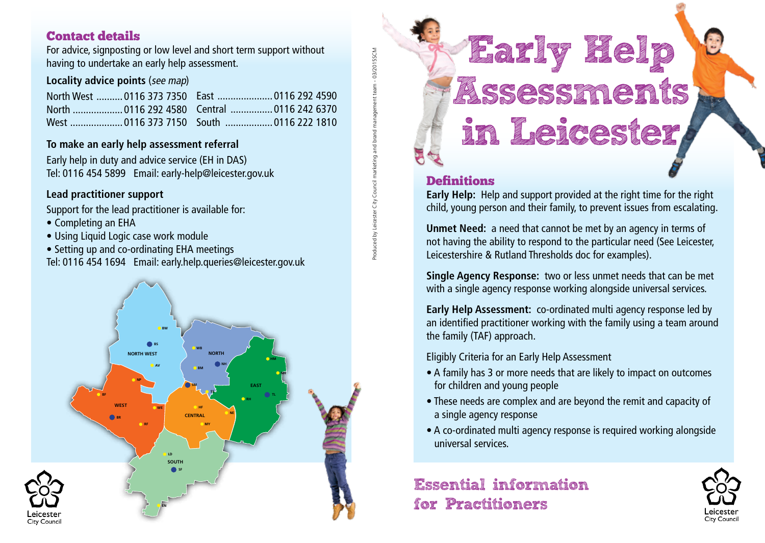## Contact details

For advice, signposting or low level and short term support without having to undertake an early help assessment.

#### **Locality advice points** (see map)

|  | North West  0116 373 7350    East  0116 292 4590 |  |  |
|--|--------------------------------------------------|--|--|
|  | North  0116 292 4580 Central  0116 242 6370      |  |  |
|  | West 0116 373 7150 South 0116 222 1810           |  |  |

#### **To make an early help assessment referral**

Early help in duty and advice service (EH in DAS) Tel: 0116 454 5899 Email: early-help@leicester.gov.uk

#### **Lead practitioner support**

Support for the lead practitioner is available for:

- Completing an EHA
- Using Liquid Logic case work module
- Setting up and co-ordinating EHA meetings

Tel: 0116 454 1694 Email: early.help.queries@leicester.gov.uk



# **Early Help** Assessments **in Leicester**

### **Definitions**

Produced by Leicester City Council marketing and brand management team - 03/2015SCM Produced by Leicester City Council marketing and brand management team - 03/2015SCM

**Early Help:** Help and support provided at the right time for the right child, young person and their family, to prevent issues from escalating.

**Unmet Need:** a need that cannot be met by an agency in terms of not having the ability to respond to the particular need (See Leicester, Leicestershire & Rutland Thresholds doc for examples).

**Single Agency Response:** two or less unmet needs that can be met with a single agency response working alongside universal services.

**Early Help Assessment:** co-ordinated multi agency response led by an identified practitioner working with the family using a team around the family (TAF) approach.

Eligibly Criteria for an Early Help Assessment

- A family has 3 or more needs that are likely to impact on outcomes for children and young people
- These needs are complex and are beyond the remit and capacity of a single agency response
- A co-ordinated multi agency response is required working alongside universal services.

# **Essential information for Practitioners**